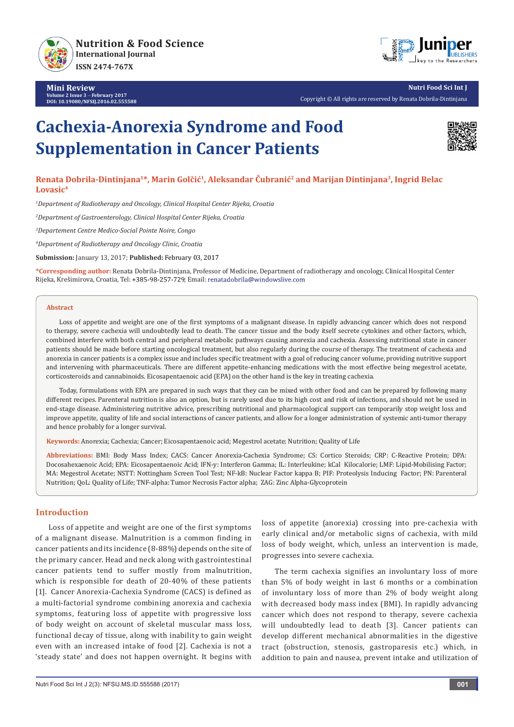

**Mini Review Volume 2 Issue 3** - **February 2017 DOI: [10.19080/NFSIJ.2016.02.555588](http://dx.doi.org/10.19080/NFSIJ.2016.02.555588)**



**Nutri Food Sci Int J** Copyright © All rights are reserved by Renata Dobrila-Dintinjana

# **Cachexia-Anorexia Syndrome and Food Supplementation in Cancer Patients**



## **Renata Dobrila-Dintinjana1\*, Marin Golčić<sup>1</sup>, Aleksandar Čubranić2 and Marijan Dintinjana3, Ingrid Belac Lovasic4**

*1 Department of Radiotherapy and Oncology, Clinical Hospital Center Rijeka, Croatia*

*2 Department of Gastroenterology, Clinical Hospital Center Rijeka, Croatia*

*3 Departement Centre Medico-Social Pointe Noire, Congo*

*4 Department of Radiotherapy and Oncology Clinic, Croatia*

**Submission:** January 13, 2017; **Published:** February 03, 2017

**\*Corresponding author:** Renata Dobrila-Dintinjana, Professor of Medicine, Department of radiotherapy and oncology, Clinical Hospital Center Rijeka, Krešimirova, Croatia, Tel: +385-98-257-729; Email: renatadobrila@windowslive.com

#### **Abstract**

Loss of appetite and weight are one of the first symptoms of a malignant disease. In rapidly advancing cancer which does not respond to therapy, severe cachexia will undoubtedly lead to death. The cancer tissue and the body itself secrete cytokines and other factors, which, combined interfere with both central and peripheral metabolic pathways causing anorexia and cachexia. Assessing nutritional state in cancer patients should be made before starting oncological treatment, but also regularly during the course of therapy. The treatment of cachexia and anorexia in cancer patients is a complex issue and includes specific treatment with a goal of reducing cancer volume, providing nutritive support and intervening with pharmaceuticals. There are different appetite-enhancing medications with the most effective being megestrol acetate, corticosteroids and cannabinoids. Eicosapentaenoic acid (EPA) on the other hand is the key in treating cachexia.

Today, formulations with EPA are prepared in such ways that they can be mixed with other food and can be prepared by following many different recipes. Parenteral nutrition is also an option, but is rarely used due to its high cost and risk of infections, and should not be used in end-stage disease. Administering nutritive advice, prescribing nutritional and pharmacological support can temporarily stop weight loss and improve appetite, quality of life and social interactions of cancer patients, and allow for a longer administration of systemic anti-tumor therapy and hence probably for a longer survival.

**Keywords:** Anorexia; Cachexia; Cancer; Eicosapentaenoic acid; Megestrol acetate; Nutrition; Quality of Life

**Abbreviations:** BMI: Body Mass Index; CACS: Cancer Anorexia-Cachexia Syndrome; CS: Cortico Steroids; CRP: C-Reactive Protein; DPA: Docosahexaenoic Acid; EPA: Eicosapentaenoic Acid; IFN-y: Interferon Gamma; IL: Interleukine; kCal Kilocalorie; LMF: Lipid-Mobilising Factor; MA: Megestrol Acetate; NSTT: Nottingham Screen Tool Test; NF-kB: Nuclear Factor kappa B; PIF: Proteolysis Inducing Factor; PN: Parenteral Nutrition; QoL: Quality of Life; TNF-alpha: Tumor Necrosis Factor alpha; ZAG: Zinc Alpha-Glycoprotein

## **Introduction**

Loss of appetite and weight are one of the first symptoms of a malignant disease. Malnutrition is a common finding in cancer patients and its incidence (8-88%) depends on the site of the primary cancer. Head and neck along with gastrointestinal cancer patients tend to suffer mostly from malnutrition, which is responsible for death of 20-40% of these patients [1]. Cancer Anorexia-Cachexia Syndrome (CACS) is defined as a multi-factorial syndrome combining anorexia and cachexia symptoms, featuring loss of appetite with progressive loss of body weight on account of skeletal muscular mass loss, functional decay of tissue, along with inability to gain weight even with an increased intake of food [2]. Cachexia is not a 'steady state' and does not happen overnight. It begins with

loss of appetite (anorexia) crossing into pre-cachexia with early clinical and/or metabolic signs of cachexia, with mild loss of body weight, which, unless an intervention is made, progresses into severe cachexia.

The term cachexia signifies an involuntary loss of more than 5% of body weight in last 6 months or a combination of involuntary loss of more than 2% of body weight along with decreased body mass index (BMI). In rapidly advancing cancer which does not respond to therapy, severe cachexia will undoubtedly lead to death [3]. Cancer patients can develop different mechanical abnormalities in the digestive tract (obstruction, stenosis, gastroparesis etc.) which, in addition to pain and nausea, prevent intake and utilization of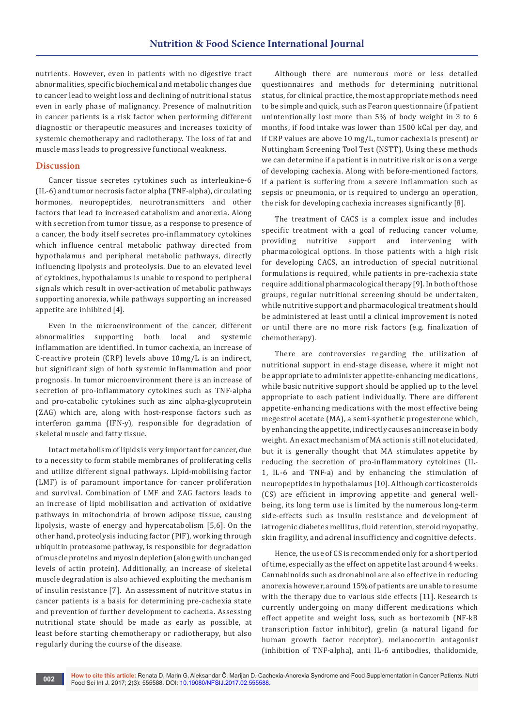nutrients. However, even in patients with no digestive tract abnormalities, specific biochemical and metabolic changes due to cancer lead to weight loss and declining of nutritional status even in early phase of malignancy. Presence of malnutrition in cancer patients is a risk factor when performing different diagnostic or therapeutic measures and increases toxicity of systemic chemotherapy and radiotherapy. The loss of fat and muscle mass leads to progressive functional weakness.

## **Discussion**

Cancer tissue secretes cytokines such as interleukine-6 (IL-6) and tumor necrosis factor alpha (TNF-alpha), circulating hormones, neuropeptides, neurotransmitters and other factors that lead to increased catabolism and anorexia. Along with secretion from tumor tissue, as a response to presence of a cancer, the body itself secretes pro-inflammatory cytokines which influence central metabolic pathway directed from hypothalamus and peripheral metabolic pathways, directly influencing lipolysis and proteolysis. Due to an elevated level of cytokines, hypothalamus is unable to respond to peripheral signals which result in over-activation of metabolic pathways supporting anorexia, while pathways supporting an increased appetite are inhibited [4].

Even in the microenvironment of the cancer, different abnormalities supporting both local and systemic inflammation are identified. In tumor cachexia, an increase of C-reactive protein (CRP) levels above 10mg/L is an indirect, but significant sign of both systemic inflammation and poor prognosis. In tumor microenvironment there is an increase of secretion of pro-inflammatory cytokines such as TNF-alpha and pro-catabolic cytokines such as zinc alpha-glycoprotein (ZAG) which are, along with host-response factors such as interferon gamma (IFN-y), responsible for degradation of skeletal muscle and fatty tissue.

Intact metabolism of lipids is very important for cancer, due to a necessity to form stabile membranes of proliferating cells and utilize different signal pathways. Lipid-mobilising factor (LMF) is of paramount importance for cancer proliferation and survival. Combination of LMF and ZAG factors leads to an increase of lipid mobilisation and activation of oxidative pathways in mitochondria of brown adipose tissue, causing lipolysis, waste of energy and hypercatabolism [5,6]. On the other hand, proteolysis inducing factor (PIF), working through ubiquitin proteasome pathway, is responsible for degradation of muscle proteins and myosin depletion (along with unchanged levels of actin protein). Additionally, an increase of skeletal muscle degradation is also achieved exploiting the mechanism of insulin resistance [7]. An assessment of nutritive status in cancer patients is a basis for determining pre-cachexia state and prevention of further development to cachexia. Assessing nutritional state should be made as early as possible, at least before starting chemotherapy or radiotherapy, but also regularly during the course of the disease.

Although there are numerous more or less detailed questionnaires and methods for determining nutritional status, for clinical practice, the most appropriate methods need to be simple and quick, such as Fearon questionnaire (if patient unintentionally lost more than 5% of body weight in 3 to 6 months, if food intake was lower than 1500 kCal per day, and if CRP values are above 10 mg/L, tumor cachexia is present) or Nottingham Screening Tool Test (NSTT). Using these methods we can determine if a patient is in nutritive risk or is on a verge of developing cachexia. Along with before-mentioned factors, if a patient is suffering from a severe inflammation such as sepsis or pneumonia, or is required to undergo an operation, the risk for developing cachexia increases significantly [8].

The treatment of CACS is a complex issue and includes specific treatment with a goal of reducing cancer volume, providing nutritive support and intervening with pharmacological options. In those patients with a high risk for developing CACS, an introduction of special nutritional formulations is required, while patients in pre-cachexia state require additional pharmacological therapy [9]. In both of those groups, regular nutritional screening should be undertaken, while nutritive support and pharmacological treatment should be administered at least until a clinical improvement is noted or until there are no more risk factors (e.g. finalization of chemotherapy).

There are controversies regarding the utilization of nutritional support in end-stage disease, where it might not be appropriate to administer appetite-enhancing medications, while basic nutritive support should be applied up to the level appropriate to each patient individually. There are different appetite-enhancing medications with the most effective being megestrol acetate (MA), a semi-synthetic progesterone which, by enhancing the appetite, indirectly causes an increase in body weight. An exact mechanism of MA action is still not elucidated, but it is generally thought that MA stimulates appetite by reducing the secretion of pro-inflammatory cytokines (IL-1, IL-6 and TNF-a) and by enhancing the stimulation of neuropeptides in hypothalamus [10]. Although corticosteroids (CS) are efficient in improving appetite and general wellbeing, its long term use is limited by the numerous long-term side-effects such as insulin resistance and development of iatrogenic diabetes mellitus, fluid retention, steroid myopathy, skin fragility, and adrenal insufficiency and cognitive defects.

Hence, the use of CS is recommended only for a short period of time, especially as the effect on appetite last around 4 weeks. Cannabinoids such as dronabinol are also effective in reducing anorexia however, around 15% of patients are unable to resume with the therapy due to various side effects [11]. Research is currently undergoing on many different medications which effect appetite and weight loss, such as bortezomib (NF-kB transcription factor inhibitor), grelin (a natural ligand for human growth factor receptor), melanocortin antagonist (inhibition of TNF-alpha), anti IL-6 antibodies, thalidomide,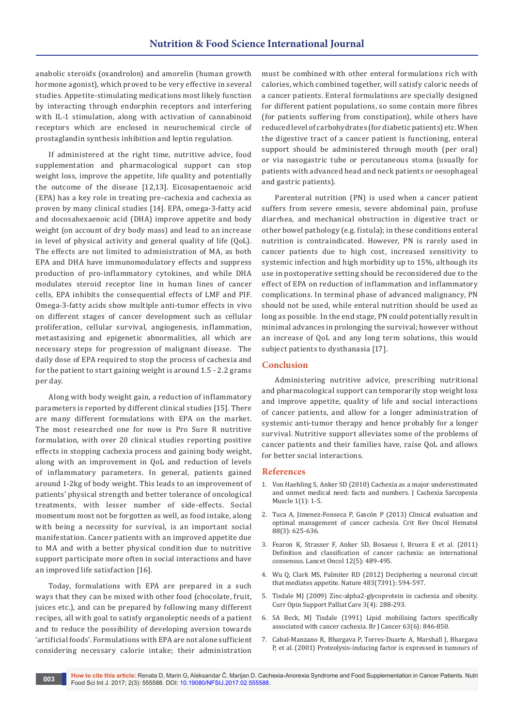anabolic steroids (oxandrolon) and amorelin (human growth hormone agonist), which proved to be very effective in several studies. Appetite-stimulating medications most likely function by interacting through endorphin receptors and interfering with IL-1 stimulation, along with activation of cannabinoid receptors which are enclosed in neurochemical circle of prostaglandin synthesis inhibition and leptin regulation.

If administered at the right time, nutritive advice, food supplementation and pharmacological support can stop weight loss, improve the appetite, life quality and potentially the outcome of the disease [12,13]. Eicosapentaenoic acid (EPA) has a key role in treating pre-cachexia and cachexia as proven by many clinical studies [14]. EPA, omega-3-fatty acid and docosahexaenoic acid (DHA) improve appetite and body weight (on account of dry body mass) and lead to an increase in level of physical activity and general quality of life (QoL). The effects are not limited to administration of MA, as both EPA and DHA have immunomodulatory effects and suppress production of pro-inflammatory cytokines, and while DHA modulates steroid receptor line in human lines of cancer cells, EPA inhibits the consequential effects of LMF and PIF. Omega-3-fatty acids show multiple anti-tumor effects in vivo on different stages of cancer development such as cellular proliferation, cellular survival, angiogenesis, inflammation, metastasizing and epigenetic abnormalities, all which are necessary steps for progression of malignant disease. The daily dose of EPA required to stop the process of cachexia and for the patient to start gaining weight is around 1.5 - 2.2 grams per day.

Along with body weight gain, a reduction of inflammatory parameters is reported by different clinical studies [15]. There are many different formulations with EPA on the market. The most researched one for now is Pro Sure R nutritive formulation, with over 20 clinical studies reporting positive effects in stopping cachexia process and gaining body weight, along with an improvement in QoL and reduction of levels of inflammatory parameters. In general, patients gained around 1-2kg of body weight. This leads to an improvement of patients' physical strength and better tolerance of oncological treatments, with lesser number of side-effects. Social momentum most not be forgotten as well, as food intake, along with being a necessity for survival, is an important social manifestation. Cancer patients with an improved appetite due to MA and with a better physical condition due to nutritive support participate more often in social interactions and have an improved life satisfaction [16].

Today, formulations with EPA are prepared in a such ways that they can be mixed with other food (chocolate, fruit, juices etc.), and can be prepared by following many different recipes, all with goal to satisfy organoleptic needs of a patient and to reduce the possibility of developing aversion towards 'artificial foods'. Formulations with EPA are not alone sufficient considering necessary calorie intake; their administration

must be combined with other enteral formulations rich with calories, which combined together, will satisfy caloric needs of a cancer patients. Enteral formulations are specially designed for different patient populations, so some contain more fibres (for patients suffering from constipation), while others have reduced level of carbohydrates (for diabetic patients) etc. When the digestive tract of a cancer patient is functioning, enteral support should be administered through mouth (per oral) or via nasogastric tube or percutaneous stoma (usually for patients with advanced head and neck patients or oesophageal and gastric patients).

Parenteral nutrition (PN) is used when a cancer patient suffers from severe emesis, severe abdominal pain, profuse diarrhea, and mechanical obstruction in digestive tract or other bowel pathology (e.g. fistula); in these conditions enteral nutrition is contraindicated. However, PN is rarely used in cancer patients due to high cost, increased sensitivity to systemic infection and high morbidity up to 15%, although its use in postoperative setting should be reconsidered due to the effect of EPA on reduction of inflammation and inflammatory complications. In terminal phase of advanced malignancy, PN should not be used, while enteral nutrition should be used as long as possible. In the end stage, PN could potentially result in minimal advances in prolonging the survival; however without an increase of QoL and any long term solutions, this would subject patients to dysthanasia [17].

## **Conclusion**

Administering nutritive advice, prescribing nutritional and pharmacological support can temporarily stop weight loss and improve appetite, quality of life and social interactions of cancer patients, and allow for a longer administration of systemic anti-tumor therapy and hence probably for a longer survival. Nutritive support alleviates some of the problems of cancer patients and their families have, raise QoL and allows for better social interactions.

## **References**

- 1. [Von Haehling S, Anker SD \(2010\) Cachexia as a major underestimated](https://www.ncbi.nlm.nih.gov/pubmed/21475699)  [and unmet medical need: facts and numbers. J Cachexia Sarcopenia](https://www.ncbi.nlm.nih.gov/pubmed/21475699)  [Muscle 1\(1\): 1-5.](https://www.ncbi.nlm.nih.gov/pubmed/21475699)
- 2. [Tuca A, Jimenez-Fonseca P, Gascón P \(2013\) Clinical evaluation and](https://www.ncbi.nlm.nih.gov/pubmed/23953794)  [optimal management of cancer cachexia. Crit Rev Oncol Hematol](https://www.ncbi.nlm.nih.gov/pubmed/23953794)  [88\(3\): 625-636.](https://www.ncbi.nlm.nih.gov/pubmed/23953794)
- 3. [Fearon K, Strasser F, Anker SD, Bosaeus I, Bruera E et al. \(2011\)](https://www.ncbi.nlm.nih.gov/pubmed/21296615)  [Definition and classification of cancer cachexia: an international](https://www.ncbi.nlm.nih.gov/pubmed/21296615)  [consensus. Lancet Oncol 12\(5\): 489-495.](https://www.ncbi.nlm.nih.gov/pubmed/21296615)
- 4. [Wu Q, Clark MS, Palmiter RD \(2012\) Deciphering a neuronal circuit](https://www.ncbi.nlm.nih.gov/pubmed/22419158)  [that mediates appetite. Nature 483\(7391\): 594-597.](https://www.ncbi.nlm.nih.gov/pubmed/22419158)
- 5. [Tisdale MJ \(2009\) Zinc-alpha2-glycoprotein in cachexia and obesity.](https://www.ncbi.nlm.nih.gov/labs/articles/19823091/)  [Curr Opin Support Palliat Care 3\(4\): 288-293.](https://www.ncbi.nlm.nih.gov/labs/articles/19823091/)
- 6. [SA Beck, MJ Tisdale \(1991\) Lipid mobilising factors specifically](https://www.ncbi.nlm.nih.gov/pubmed/2069843/)  [associated with cancer cachexia. Br J Cancer 63\(6\): 846-850.](https://www.ncbi.nlm.nih.gov/pubmed/2069843/)
- 7. [Cabal-Manzano R, Bhargava P, Torres-Duarte A, Marshall J, Bhargava](https://www.ncbi.nlm.nih.gov/pubmed/11401311)  [P, et al. \(2001\) Proteolysis-inducing factor is expressed in tumours of](https://www.ncbi.nlm.nih.gov/pubmed/11401311)